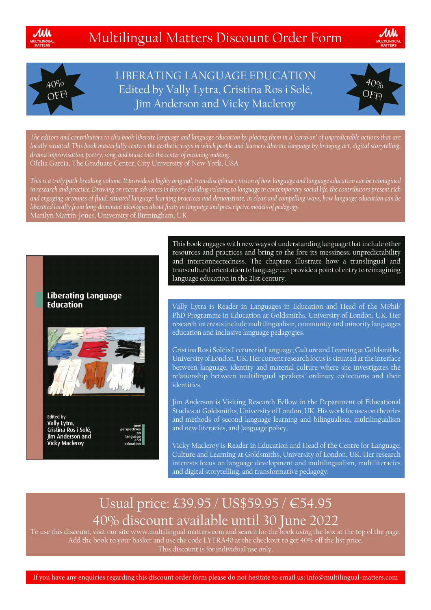





LIBERATING LANGUAGE EDUCATION Edited by Vally Lytra, Cristina Ros i Solé, Jim Anderson and Vicky Macleroy



*The editors and contributors to this book liberate language and language education by placing them in a 'caravan' of unpredictable actions that are locally situated. This book masterfully centers the aesthetic ways in which people and learners liberate language by bringing art, digital storytelling, drama improvisation, poetry, song, and music into the center of meaning-making.* Ofelia García, The Graduate Center, City University of New York, USA

*This is a truly path-breaking volume. It provides a highly original, transdisciplinary vision of how language and language education can be reimagined in research and practice. Drawing on recent advances in theory-building relating to language in contemporary social life, the contributors present rich and engaging accounts of fluid, situated language learning practices and demonstrate, in clear and compelling ways, how language education can be liberated locally from long-dominant ideologies about fixity in language and prescriptive models of pedagogy.* Marilyn Martin-Jones, University of Birmingham, UK





**Edited by** Vally Lytra,<br>Cristina Ros i Solé, Jim Anderson and **Vicky Macleroy** 

This book engages with new ways of understanding language that include other resources and practices and bring to the fore its messiness, unpredictability and interconnectedness. The chapters illustrate how a translingual and transcultural orientation to language can provide a point of entry to reimagining language education in the 21st century.

Vally Lytra is Reader in Languages in Education and Head of the MPhil/ PhD Programme in Education at Goldsmiths, University of London, UK. Her research interests include multilingualism, community and minority languages education and inclusive language pedagogies.

Cristina Ros i Solé is Lecturer in Language, Culture and Learning at Goldsmiths, University of London, UK. Her current research focus is situated at the interface between language, identity and material culture where she investigates the relationship between multilingual speakers' ordinary collections and their identities.

Jim Anderson is Visiting Research Fellow in the Department of Educational Studies at Goldsmiths, University of London, UK. His work focuses on theories and methods of second language learning and bilingualism, multilingualism and new literacies, and language policy.

Vicky Macleroy is Reader in Education and Head of the Centre for Language, Culture and Learning at Goldsmiths, University of London, UK. Her research interests focus on language development and multilingualism, multiliteracies and digital storytelling, and transformative pedagogy.

# Usual price: £39.95 / US\$59.95 / €54.95  $40\%$  discount available until 30 June 2022 To use this discount, visit our site www.multilingual-matters.com and search for the book using the box at the top of the page.

Add the book to your basket and use the code LYTRA40 at the checkout to get 40% off the list price. This discount is for individual use only.